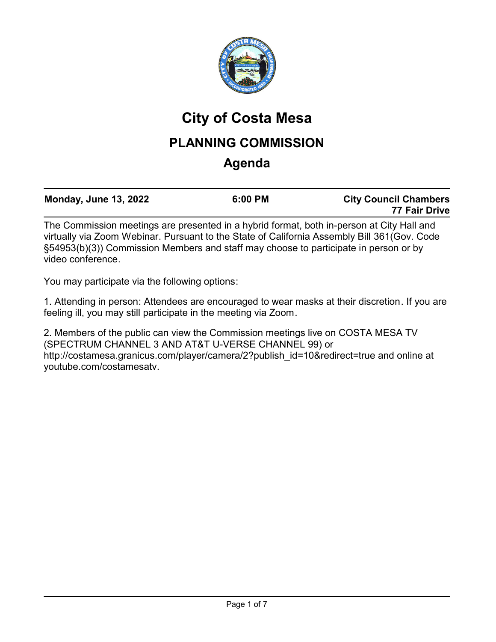

# **City of Costa Mesa**

## **PLANNING COMMISSION**

## **Agenda**

|              |  | <b>Monday, June 13, 2022</b> | 6:00 PM | <b>City Council Chambers</b><br>77 Fair Drive |  |
|--------------|--|------------------------------|---------|-----------------------------------------------|--|
| $\mathbf{r}$ |  |                              |         | $\sim$ $\sim$ $\sim$ $\sim$ $\sim$ $\sim$     |  |

The Commission meetings are presented in a hybrid format, both in-person at City Hall and virtually via Zoom Webinar. Pursuant to the State of California Assembly Bill 361(Gov. Code §54953(b)(3)) Commission Members and staff may choose to participate in person or by video conference.

You may participate via the following options:

1. Attending in person: Attendees are encouraged to wear masks at their discretion. If you are feeling ill, you may still participate in the meeting via Zoom.

2. Members of the public can view the Commission meetings live on COSTA MESA TV (SPECTRUM CHANNEL 3 AND AT&T U-VERSE CHANNEL 99) or http://costamesa.granicus.com/player/camera/2?publish\_id=10&redirect=true and online at youtube.com/costamesatv.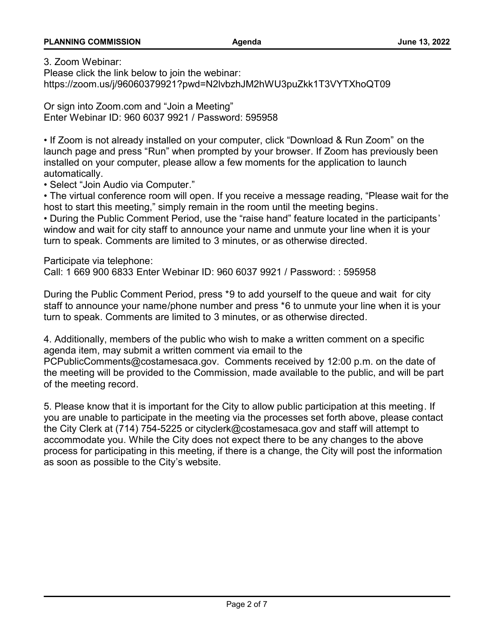3. Zoom Webinar:

Please click the link below to join the webinar: https://zoom.us/j/96060379921?pwd=N2lvbzhJM2hWU3puZkk1T3VYTXhoQT09

Or sign into Zoom.com and "Join a Meeting" Enter Webinar ID: 960 6037 9921 / Password: 595958

• If Zoom is not already installed on your computer, click "Download & Run Zoom" on the launch page and press "Run" when prompted by your browser. If Zoom has previously been installed on your computer, please allow a few moments for the application to launch automatically.

• Select "Join Audio via Computer."

• The virtual conference room will open. If you receive a message reading, "Please wait for the host to start this meeting," simply remain in the room until the meeting begins.

• During the Public Comment Period, use the "raise hand" feature located in the participants' window and wait for city staff to announce your name and unmute your line when it is your turn to speak. Comments are limited to 3 minutes, or as otherwise directed.

Participate via telephone:

Call: 1 669 900 6833 Enter Webinar ID: 960 6037 9921 / Password: : 595958

During the Public Comment Period, press \*9 to add yourself to the queue and wait for city staff to announce your name/phone number and press \*6 to unmute your line when it is your turn to speak. Comments are limited to 3 minutes, or as otherwise directed.

4. Additionally, members of the public who wish to make a written comment on a specific agenda item, may submit a written comment via email to the

PCPublicComments@costamesaca.gov. Comments received by 12:00 p.m. on the date of the meeting will be provided to the Commission, made available to the public, and will be part of the meeting record.

5. Please know that it is important for the City to allow public participation at this meeting. If you are unable to participate in the meeting via the processes set forth above, please contact the City Clerk at (714) 754-5225 or cityclerk@costamesaca.gov and staff will attempt to accommodate you. While the City does not expect there to be any changes to the above process for participating in this meeting, if there is a change, the City will post the information as soon as possible to the City's website.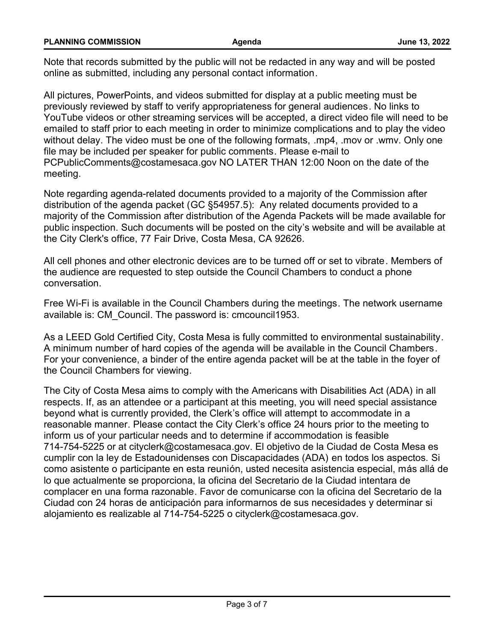| <b>PLANNING COMMISSION</b> | Aqenda | June 13, 2022 |
|----------------------------|--------|---------------|
|                            |        |               |

Note that records submitted by the public will not be redacted in any way and will be posted online as submitted, including any personal contact information.

All pictures, PowerPoints, and videos submitted for display at a public meeting must be previously reviewed by staff to verify appropriateness for general audiences. No links to YouTube videos or other streaming services will be accepted, a direct video file will need to be emailed to staff prior to each meeting in order to minimize complications and to play the video without delay. The video must be one of the following formats, .mp4, .mov or .wmv. Only one file may be included per speaker for public comments. Please e-mail to PCPublicComments@costamesaca.gov NO LATER THAN 12:00 Noon on the date of the meeting.

Note regarding agenda-related documents provided to a majority of the Commission after distribution of the agenda packet (GC §54957.5): Any related documents provided to a majority of the Commission after distribution of the Agenda Packets will be made available for public inspection. Such documents will be posted on the city's website and will be available at the City Clerk's office, 77 Fair Drive, Costa Mesa, CA 92626.

All cell phones and other electronic devices are to be turned off or set to vibrate. Members of the audience are requested to step outside the Council Chambers to conduct a phone conversation.

Free Wi-Fi is available in the Council Chambers during the meetings. The network username available is: CM\_Council. The password is: cmcouncil1953.

As a LEED Gold Certified City, Costa Mesa is fully committed to environmental sustainability. A minimum number of hard copies of the agenda will be available in the Council Chambers. For your convenience, a binder of the entire agenda packet will be at the table in the foyer of the Council Chambers for viewing.

The City of Costa Mesa aims to comply with the Americans with Disabilities Act (ADA) in all respects. If, as an attendee or a participant at this meeting, you will need special assistance beyond what is currently provided, the Clerk's office will attempt to accommodate in a reasonable manner. Please contact the City Clerk's office 24 hours prior to the meeting to inform us of your particular needs and to determine if accommodation is feasible 714-754-5225 or at cityclerk@costamesaca.gov. El objetivo de la Ciudad de Costa Mesa es cumplir con la ley de Estadounidenses con Discapacidades (ADA) en todos los aspectos. Si como asistente o participante en esta reunión, usted necesita asistencia especial, más allá de lo que actualmente se proporciona, la oficina del Secretario de la Ciudad intentara de complacer en una forma razonable. Favor de comunicarse con la oficina del Secretario de la Ciudad con 24 horas de anticipación para informarnos de sus necesidades y determinar si alojamiento es realizable al 714-754-5225 o cityclerk@costamesaca.gov.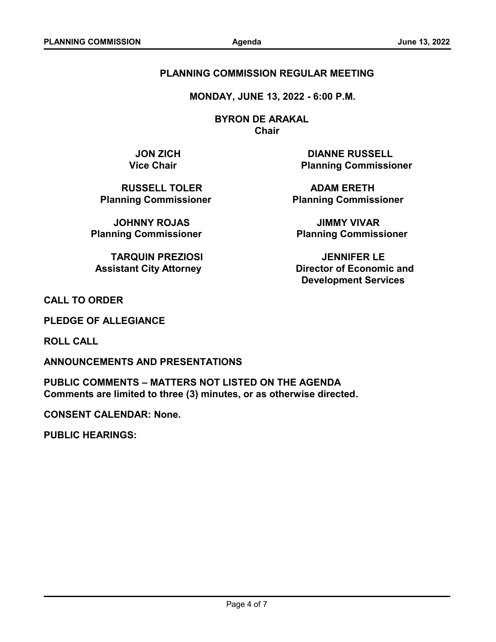#### **PLANNING COMMISSION REGULAR MEETING**

 **MONDAY, JUNE 13, 2022 - 6:00 P.M.**

 **BYRON DE ARAKAL Chair**

**RUSSELL TOLER ADAM ERETH** 

**JOHNNY ROJAS JIMMY VIVAR**

**TARQUIN PREZIOSI JENNIFER LE**

**JON ZICH DIANNE RUSSELL Vice Chair Commissioner Planning Commissioner** 

**Planning Commissioner Commissioner Relanning Commissioner** 

**Planning Commissioner Commissioner Relanning Commissioner** 

 **Assistant City Attorney Community Community Assistant City Attorney Community Community Director of Economic and Development Services**

**CALL TO ORDER**

**PLEDGE OF ALLEGIANCE**

**ROLL CALL**

**ANNOUNCEMENTS AND PRESENTATIONS**

**PUBLIC COMMENTS – MATTERS NOT LISTED ON THE AGENDA Comments are limited to three (3) minutes, or as otherwise directed.**

**CONSENT CALENDAR: None.**

**PUBLIC HEARINGS:**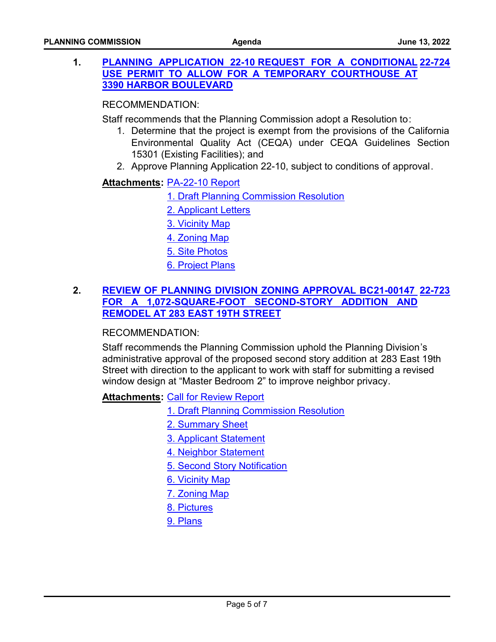### **1. PLANNING APPLICATION 22-10 REQUEST FOR A CONDITIONAL [22-724](http://costamesa.legistar.com/gateway.aspx?m=l&id=/matter.aspx?key=1828) [USE PERMIT TO ALLOW FOR A TEMPORARY COURTHOUSE AT](http://costamesa.legistar.com/gateway.aspx?m=l&id=/matter.aspx?key=1828) 3390 HARBOR BOULEVARD**

#### RECOMMENDATION:

Staff recommends that the Planning Commission adopt a Resolution to:

- 1. Determine that the project is exempt from the provisions of the California Environmental Quality Act (CEQA) under CEQA Guidelines Section 15301 (Existing Facilities); and
- 2. Approve Planning Application 22-10, subject to conditions of approval.

### <u> Attachments</u>: <u>[PA-22-10 Report](http://costamesa.legistar.com/gateway.aspx?M=F&ID=47d76563-6e5a-48cb-afb6-ed2986bd1b05.pdf)</u>

- [1. Draft Planning Commission Resolution](http://costamesa.legistar.com/gateway.aspx?M=F&ID=ffb43ec3-11b4-4f2c-a44a-32e0792e857d.pdf)
- [2. Applicant Letters](http://costamesa.legistar.com/gateway.aspx?M=F&ID=ecdaebcb-db47-461a-8738-c6afad7cf7a3.pdf)
- [3. Vicinity Map](http://costamesa.legistar.com/gateway.aspx?M=F&ID=85c77e3f-ce36-421a-87b3-9b968e2f6c06.pdf)
- [4. Zoning Map](http://costamesa.legistar.com/gateway.aspx?M=F&ID=e623c97d-bcaf-4410-8d0c-955ad781283a.pdf)
- [5. Site Photos](http://costamesa.legistar.com/gateway.aspx?M=F&ID=b3f1c07b-710b-4f0e-af9f-c1c707d1ce6d.docx)
- [6. Project Plans](http://costamesa.legistar.com/gateway.aspx?M=F&ID=ce996495-ebf8-4c64-9483-53cd250eb401.pdf)

### **2. [REVIEW OF PLANNING DIVISION ZONING APPROVAL BC21-00147](http://costamesa.legistar.com/gateway.aspx?m=l&id=/matter.aspx?key=1827)  [22-723](http://costamesa.legistar.com/gateway.aspx?m=l&id=/matter.aspx?key=1827) FOR A 1,072-SQUARE-FOOT SECOND-STORY ADDITION AND REMODEL AT 283 EAST 19TH STREET**

#### RECOMMENDATION:

Staff recommends the Planning Commission uphold the Planning Division's administrative approval of the proposed second story addition at 283 East 19th Street with direction to the applicant to work with staff for submitting a revised window design at "Master Bedroom 2" to improve neighbor privacy.

**Attachments: [Call for Review Report](http://costamesa.legistar.com/gateway.aspx?M=F&ID=fd9a6631-eaa5-42fc-944b-2372be4e56c1.pdf)** 

- [1. Draft Planning Commission Resolution](http://costamesa.legistar.com/gateway.aspx?M=F&ID=58020141-e14b-4cc8-95a3-b75cf25f9e41.pdf)
- [2. Summary Sheet](http://costamesa.legistar.com/gateway.aspx?M=F&ID=94648358-fbd0-407f-9ecf-4efbf1122003.docx)
- [3. Applicant Statement](http://costamesa.legistar.com/gateway.aspx?M=F&ID=ce343f18-3278-42c4-b0f9-28ead0d2d632.pdf)
- [4. Neighbor Statement](http://costamesa.legistar.com/gateway.aspx?M=F&ID=1994b86e-32fe-4691-ad4a-0ba793186e85.pdf)
- [5. Second Story Notification](http://costamesa.legistar.com/gateway.aspx?M=F&ID=54c43930-d364-49b4-a5dd-408c3bbdce65.doc)
- [6. Vicinity Map](http://costamesa.legistar.com/gateway.aspx?M=F&ID=6ae9fee6-db9d-4615-9348-6a44dd856757.pdf)
- [7. Zoning Map](http://costamesa.legistar.com/gateway.aspx?M=F&ID=64460b91-7e87-432a-b583-459e2838d3e1.pdf)
- [8. Pictures](http://costamesa.legistar.com/gateway.aspx?M=F&ID=2e62b3cf-e21c-42fc-a8ef-463d74344a50.docx)
- [9. Plans](http://costamesa.legistar.com/gateway.aspx?M=F&ID=556799ea-8449-4a97-9e45-866006f06ff9.pdf)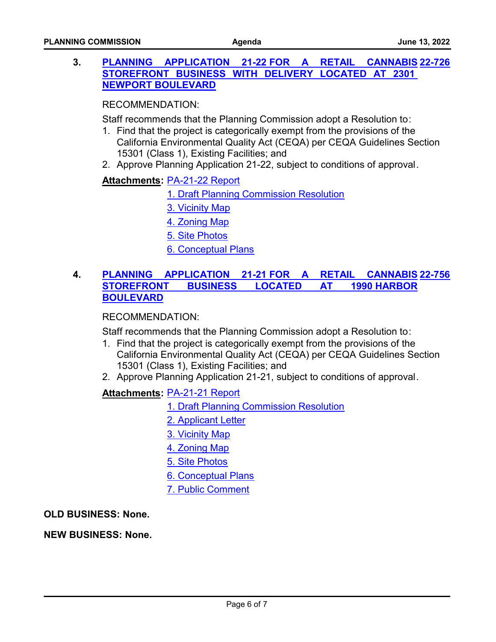#### **3. PLANNING APPLICATION 21-22 FOR A RETAIL [STOREFRONT BUSINESS WITH DELIVERY LOCATED AT 2301](http://costamesa.legistar.com/gateway.aspx?m=l&id=/matter.aspx?key=1830)  NEWPORT BOULEVARD [22-726](http://costamesa.legistar.com/gateway.aspx?m=l&id=/matter.aspx?key=1830)**

RECOMMENDATION:

Staff recommends that the Planning Commission adopt a Resolution to:

- 1. Find that the project is categorically exempt from the provisions of the California Environmental Quality Act (CEQA) per CEQA Guidelines Section 15301 (Class 1), Existing Facilities; and
- 2. Approve Planning Application 21-22, subject to conditions of approval.

### <u> Attachments</u>: <u>[PA-21-22 Report](http://costamesa.legistar.com/gateway.aspx?M=F&ID=2d254dfc-bfe3-483c-a7d4-e2c4e90b8835.pdf)</u>

- [1. Draft Planning Commission Resolution](http://costamesa.legistar.com/gateway.aspx?M=F&ID=784f951d-d0a3-41ea-9164-8e0093125408.pdf)
- [3. Vicinity Map](http://costamesa.legistar.com/gateway.aspx?M=F&ID=3ab844eb-20fb-4abe-b6eb-1d66b632609b.pdf)
- [4. Zoning Map](http://costamesa.legistar.com/gateway.aspx?M=F&ID=26732a8f-0234-473c-b8ce-056a04a4ff9b.pdf)
- [5. Site Photos](http://costamesa.legistar.com/gateway.aspx?M=F&ID=734cb079-6cb1-46a8-b127-5409c30b976a.docx)
- [6. Conceptual Plans](http://costamesa.legistar.com/gateway.aspx?M=F&ID=ae951336-a7bc-4a6c-90b0-c96514e0b898.pdf)

#### **4. PLANNING APPLICATION 21-21 FOR A RETAIL [STOREFRONT BUSINESS LOCATED AT 1990 HARBOR](http://costamesa.legistar.com/gateway.aspx?m=l&id=/matter.aspx?key=1860) BOULEVARD [22-756](http://costamesa.legistar.com/gateway.aspx?m=l&id=/matter.aspx?key=1860)**

### RECOMMENDATION:

Staff recommends that the Planning Commission adopt a Resolution to:

- 1. Find that the project is categorically exempt from the provisions of the California Environmental Quality Act (CEQA) per CEQA Guidelines Section 15301 (Class 1), Existing Facilities; and
- 2. Approve Planning Application 21-21, subject to conditions of approval.

### [PA-21-21 Report](http://costamesa.legistar.com/gateway.aspx?M=F&ID=5ab20b22-d53e-4905-8fc5-a5ee43e03963.pdf) **Attachments:**

- [1. Draft Planning Commission Resolution](http://costamesa.legistar.com/gateway.aspx?M=F&ID=34cc6940-dcb9-4063-8c4e-1fb23ae9a153.pdf)
- [2. Applicant Letter](http://costamesa.legistar.com/gateway.aspx?M=F&ID=85bea2a4-5662-4332-a67d-0f5b62ee05e3.pdf)
- [3. Vicinity Map](http://costamesa.legistar.com/gateway.aspx?M=F&ID=f4dcf130-9064-4b6c-b29f-b10635f46346.pdf)
- [4. Zoning Map](http://costamesa.legistar.com/gateway.aspx?M=F&ID=b5219991-c208-4a0a-94a0-f24f1fccd31e.pdf)
- [5. Site Photos](http://costamesa.legistar.com/gateway.aspx?M=F&ID=92db3c6a-4f70-4ed3-bfed-294bda78a2e3.docx)
- [6. Conceptual Plans](http://costamesa.legistar.com/gateway.aspx?M=F&ID=0e4aacdf-f11d-48ad-bd5a-7a9ab93e05f3.pdf)
- [7. Public Comment](http://costamesa.legistar.com/gateway.aspx?M=F&ID=26fdaf69-cb54-4f17-a977-64fd1389be9e.pdf)

**OLD BUSINESS: None.**

#### **NEW BUSINESS: None.**